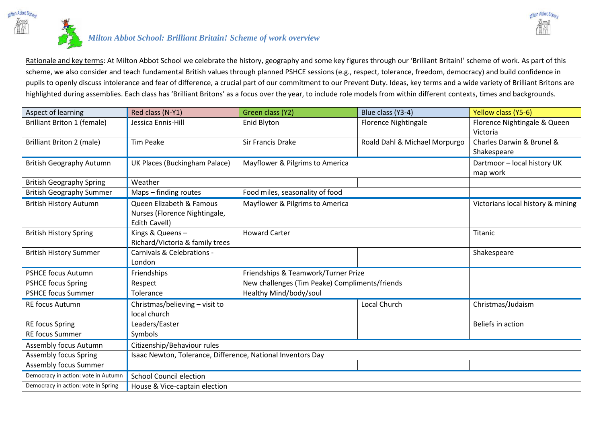

Rationale and key terms: At Milton Abbot School we celebrate the history, geography and some key figures through our 'Brilliant Britain!' scheme of work. As part of this scheme, we also consider and teach fundamental British values through planned PSHCE sessions (e.g., respect, tolerance, freedom, democracy) and build confidence in pupils to openly discuss intolerance and fear of difference, a crucial part of our commitment to our Prevent Duty. Ideas, key terms and a wide variety of Brilliant Britons are highlighted during assemblies. Each class has 'Brilliant Britons' as a focus over the year, to include role models from within different contexts, times and backgrounds.

Milton Abbot Scho

| Aspect of learning                  | Red class (N-Y1)                                            | Green class (Y2)                               | Blue class (Y3-4)             | Yellow class (Y5-6)               |  |  |
|-------------------------------------|-------------------------------------------------------------|------------------------------------------------|-------------------------------|-----------------------------------|--|--|
| <b>Brilliant Briton 1 (female)</b>  | Jessica Ennis-Hill                                          | Enid Blyton                                    | Florence Nightingale          | Florence Nightingale & Queen      |  |  |
|                                     |                                                             |                                                |                               | Victoria                          |  |  |
| <b>Brilliant Briton 2 (male)</b>    | <b>Tim Peake</b>                                            | Sir Francis Drake                              | Roald Dahl & Michael Morpurgo | Charles Darwin & Brunel &         |  |  |
|                                     |                                                             |                                                |                               | Shakespeare                       |  |  |
| <b>British Geography Autumn</b>     | UK Places (Buckingham Palace)                               | Mayflower & Pilgrims to America                |                               | Dartmoor - local history UK       |  |  |
|                                     |                                                             |                                                |                               | map work                          |  |  |
| <b>British Geography Spring</b>     | Weather                                                     |                                                |                               |                                   |  |  |
| <b>British Geography Summer</b>     | Maps - finding routes                                       | Food miles, seasonality of food                |                               |                                   |  |  |
| <b>British History Autumn</b>       | Queen Elizabeth & Famous                                    | Mayflower & Pilgrims to America                |                               | Victorians local history & mining |  |  |
|                                     | Nurses (Florence Nightingale,                               |                                                |                               |                                   |  |  |
|                                     | Edith Cavell)                                               |                                                |                               |                                   |  |  |
| <b>British History Spring</b>       | Kings & Queens-                                             | <b>Howard Carter</b>                           |                               | Titanic                           |  |  |
|                                     | Richard/Victoria & family trees                             |                                                |                               |                                   |  |  |
| <b>British History Summer</b>       | Carnivals & Celebrations -                                  |                                                |                               | Shakespeare                       |  |  |
|                                     | London                                                      |                                                |                               |                                   |  |  |
| <b>PSHCE focus Autumn</b>           | Friendships                                                 | Friendships & Teamwork/Turner Prize            |                               |                                   |  |  |
| <b>PSHCE focus Spring</b>           | Respect                                                     | New challenges (Tim Peake) Compliments/friends |                               |                                   |  |  |
| <b>PSHCE focus Summer</b>           | Tolerance                                                   | Healthy Mind/body/soul                         |                               |                                   |  |  |
| <b>RE focus Autumn</b>              | Christmas/believing - visit to                              |                                                | Local Church                  | Christmas/Judaism                 |  |  |
|                                     | local church                                                |                                                |                               |                                   |  |  |
| <b>RE focus Spring</b>              | Leaders/Easter                                              |                                                |                               | Beliefs in action                 |  |  |
| <b>RE focus Summer</b>              | Symbols                                                     |                                                |                               |                                   |  |  |
| Assembly focus Autumn               | Citizenship/Behaviour rules                                 |                                                |                               |                                   |  |  |
| <b>Assembly focus Spring</b>        | Isaac Newton, Tolerance, Difference, National Inventors Day |                                                |                               |                                   |  |  |
| Assembly focus Summer               |                                                             |                                                |                               |                                   |  |  |
| Democracy in action: vote in Autumn | <b>School Council election</b>                              |                                                |                               |                                   |  |  |
| Democracy in action: vote in Spring | House & Vice-captain election                               |                                                |                               |                                   |  |  |